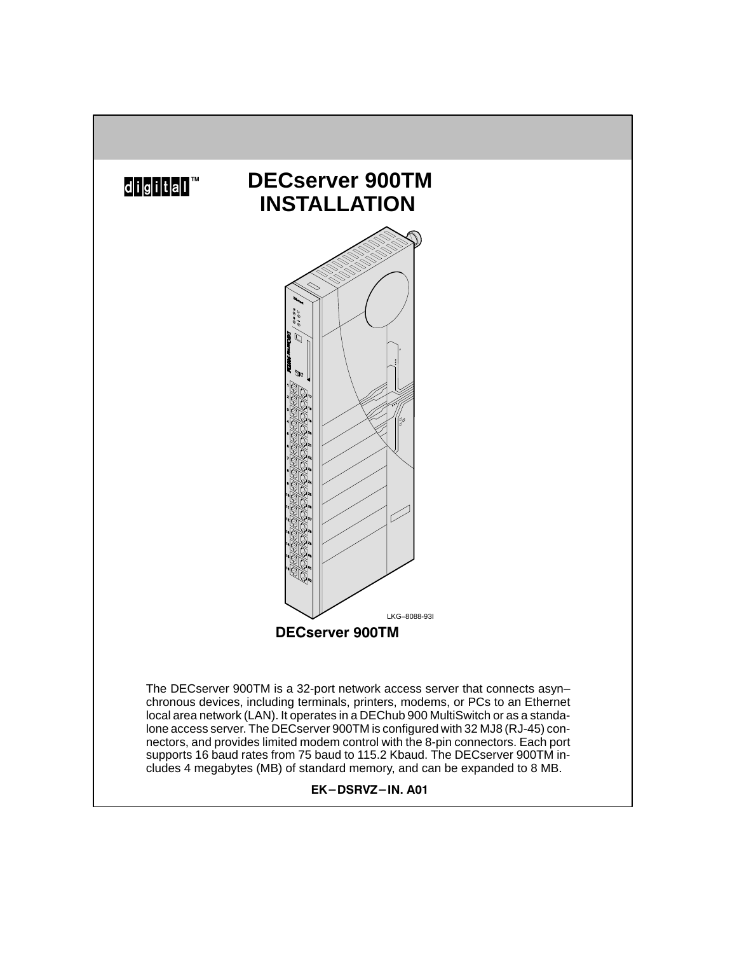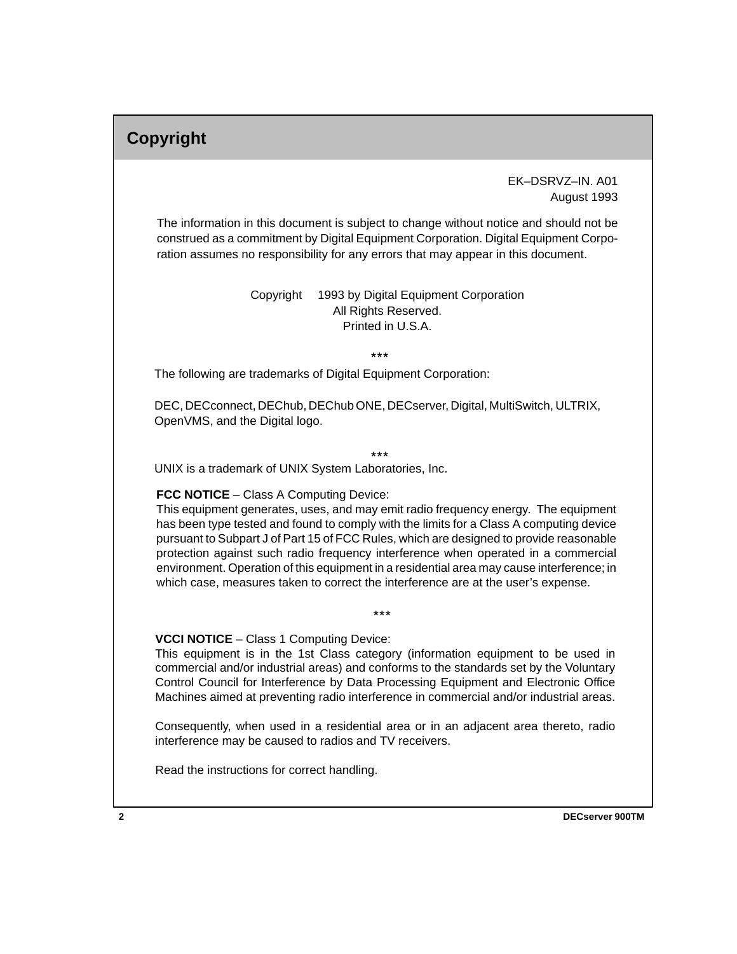## **Copyright**

 EK–DSRVZ–IN. A01 August 1993

The information in this document is subject to change without notice and should not be construed as a commitment by Digital Equipment Corporation. Digital Equipment Corporation assumes no responsibility for any errors that may appear in this document.

> Copyright © 1993 by Digital Equipment Corporation All Rights Reserved. Printed in U.S.A.

> > \*\*\*

The following are trademarks of Digital Equipment Corporation:

DEC, DECconnect, DEChub, DEChub ONE, DECserver, Digital, MultiSwitch, ULTRIX, OpenVMS, and the Digital logo.

UNIX is a trademark of UNIX System Laboratories, Inc. \*\*\*

#### **FCC NOTICE** – Class A Computing Device:

This equipment generates, uses, and may emit radio frequency energy. The equipment has been type tested and found to comply with the limits for a Class A computing device pursuant to Subpart J of Part 15 of FCC Rules, which are designed to provide reasonable protection against such radio frequency interference when operated in a commercial environment. Operation of this equipment in a residential area may cause interference; in which case, measures taken to correct the interference are at the user's expense.

 $+ + +$ 

**VCCI NOTICE** – Class 1 Computing Device:

This equipment is in the 1st Class category (information equipment to be used in commercial and/or industrial areas) and conforms to the standards set by the Voluntary Control Council for Interference by Data Processing Equipment and Electronic Office Machines aimed at preventing radio interference in commercial and/or industrial areas.

Consequently, when used in a residential area or in an adjacent area thereto, radio interference may be caused to radios and TV receivers.

Read the instructions for correct handling.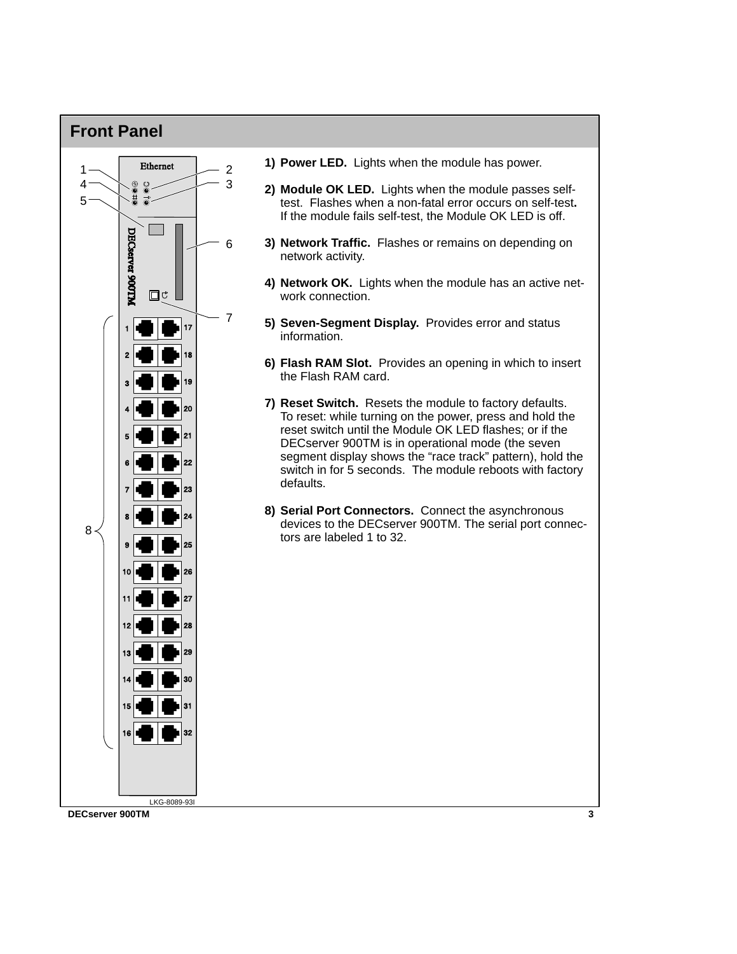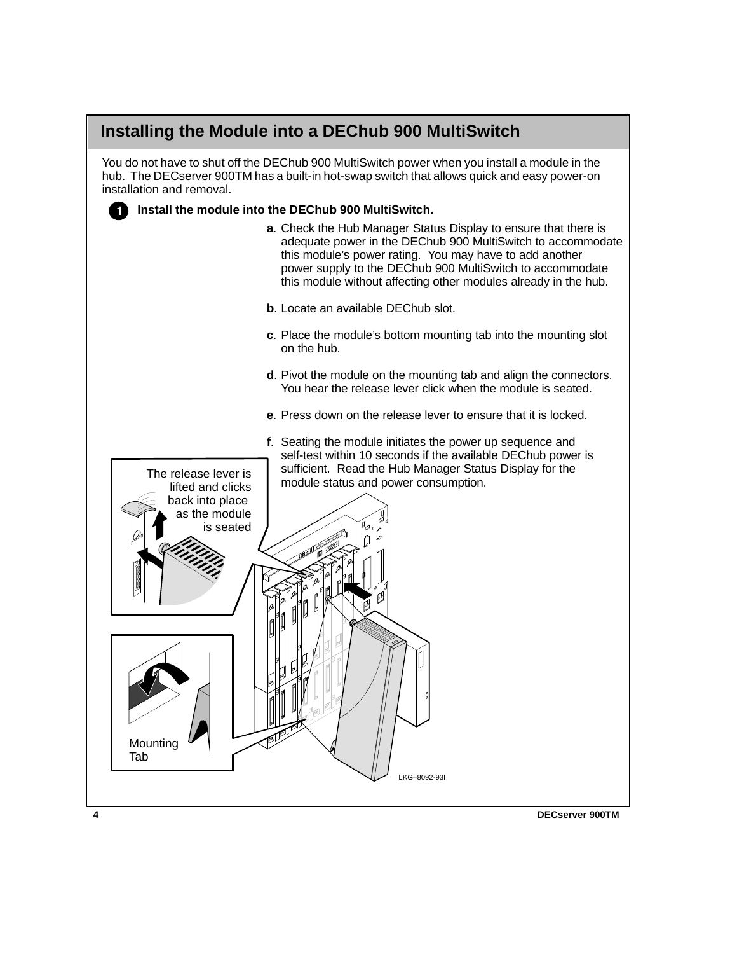### **Installing the Module into a DEChub 900 MultiSwitch**

You do not have to shut off the DEChub 900 MultiSwitch power when you install a module in the hub. The DECserver 900TM has a built-in hot-swap switch that allows quick and easy power-on installation and removal.

#### **Install the module into the DEChub 900 MultiSwitch.** Ò

- **a**. Check the Hub Manager Status Display to ensure that there is adequate power in the DEChub 900 MultiSwitch to accommodate this module's power rating. You may have to add another power supply to the DEChub 900 MultiSwitch to accommodate this module without affecting other modules already in the hub.
- **b.** Locate an available DEChub slot.
- **c**. Place the module's bottom mounting tab into the mounting slot on the hub.
- **d**. Pivot the module on the mounting tab and align the connectors. You hear the release lever click when the module is seated.
- **e**. Press down on the release lever to ensure that it is locked.

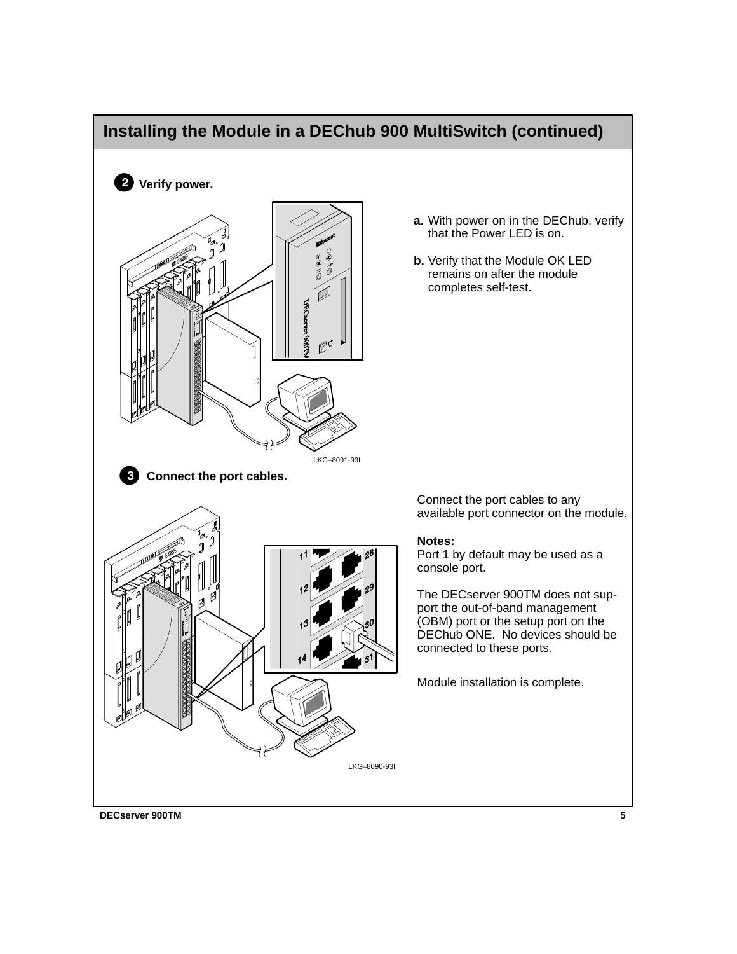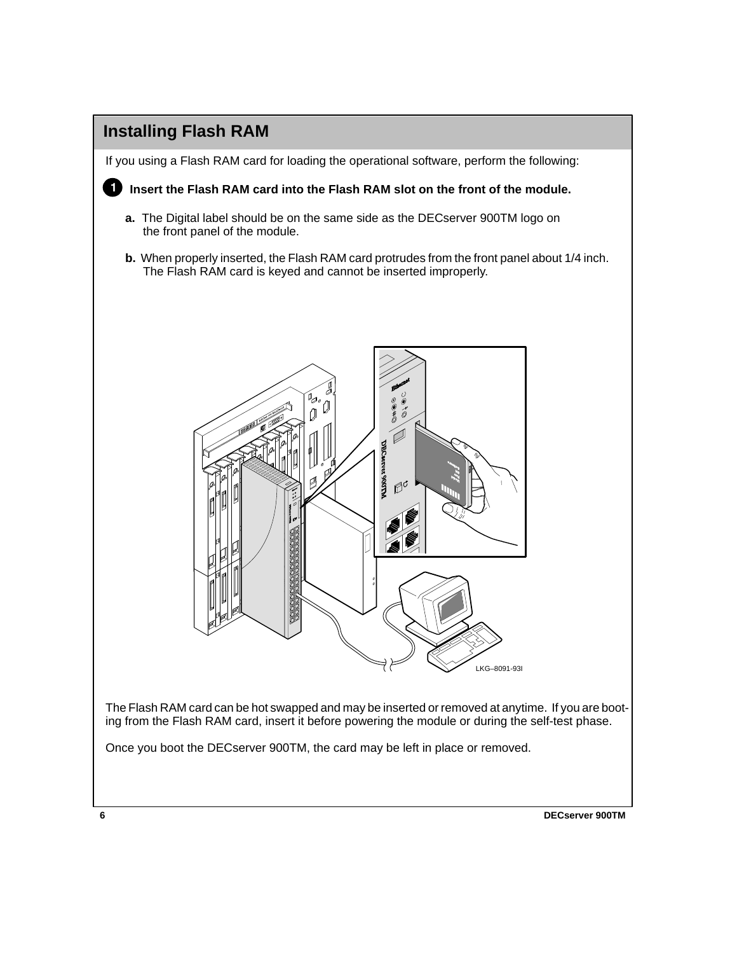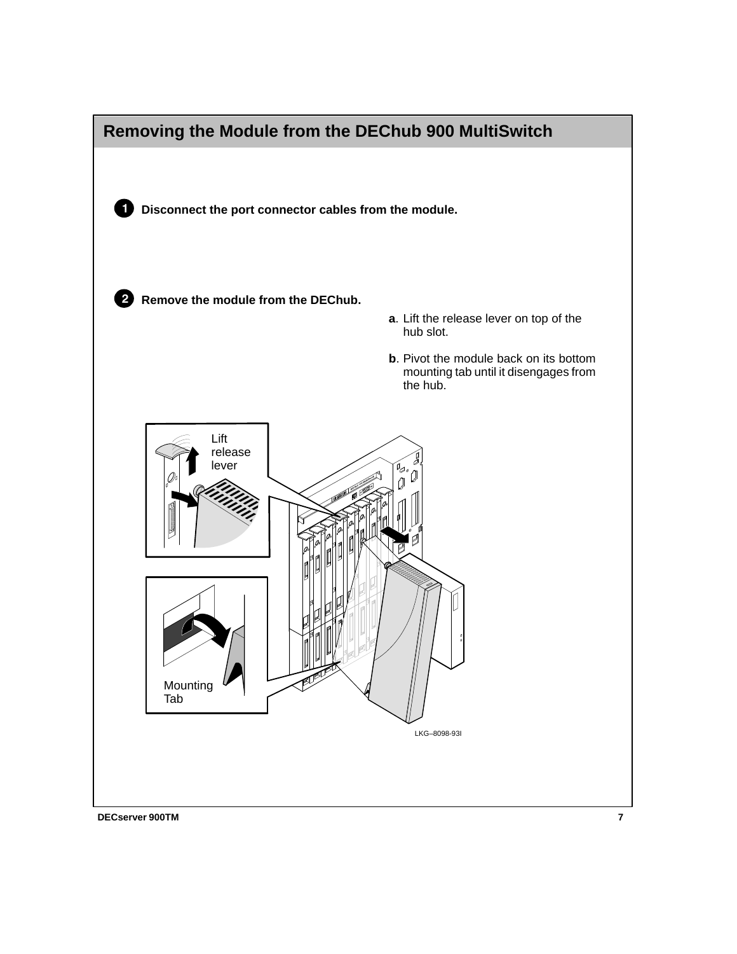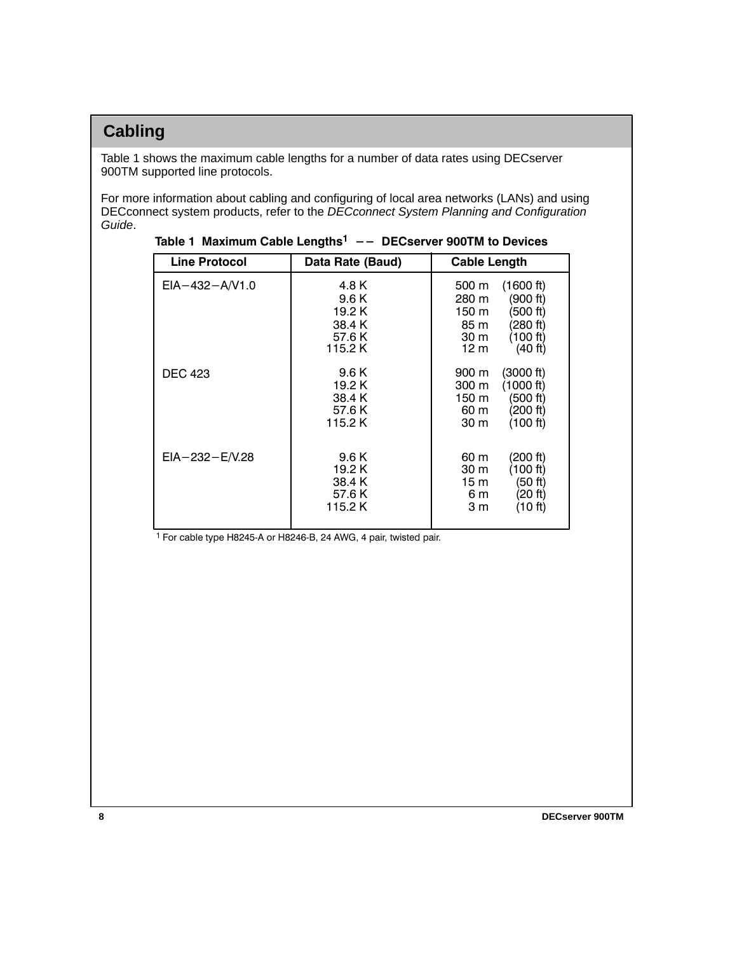## **Cabling**

Table 1 shows the maximum cable lengths for a number of data rates using DECserver 900TM supported line protocols.

For more information about cabling and configuring of local area networks (LANs) and using DECconnect system products, refer to the DECconnect System Planning and Configuration Guide.

| <b>Line Protocol</b> | Data Rate (Baud)                                        | <b>Cable Length</b>                                                                                                     |  |  |
|----------------------|---------------------------------------------------------|-------------------------------------------------------------------------------------------------------------------------|--|--|
| $EIA - 432 - A/V1.0$ | 4.8 K<br>9.6 K<br>19.2 K<br>38.4 K<br>57.6 K<br>115.2 K | (1600 ft)<br>500 m<br>(900 ft)<br>280 m<br>150 m<br>(500 ft)<br>(280 ft)<br>85 m<br>(100 ft)<br>30 m<br>12 m<br>(40 ft) |  |  |
| <b>DEC 423</b>       | 9.6 K<br>19.2 K<br>38.4 K<br>57.6 K<br>115.2K           | 900 m<br>(3000 ft)<br>(1000 ft)<br>300 m<br>(500 ft)<br>150 m<br>(200 ft)<br>60 m<br>(100 ft)<br>30 m                   |  |  |
| $EIA - 232 - E/N.28$ | 9.6 K<br>19.2 K<br>38.4 K<br>57.6 K<br>115.2 K          | 60 m<br>(200 ft)<br>(100 ft)<br>30 m<br>(50 ft)<br>15 m<br>(20 ft)<br>6 m<br>3 m<br>(10 ft)                             |  |  |

|  | Table 1 Maximum Cable Lengths <sup>1</sup> -- DECserver 900TM to Devices |  |  |  |
|--|--------------------------------------------------------------------------|--|--|--|
|--|--------------------------------------------------------------------------|--|--|--|

<sup>1</sup> For cable type H8245-A or H8246-B, 24 AWG, 4 pair, twisted pair.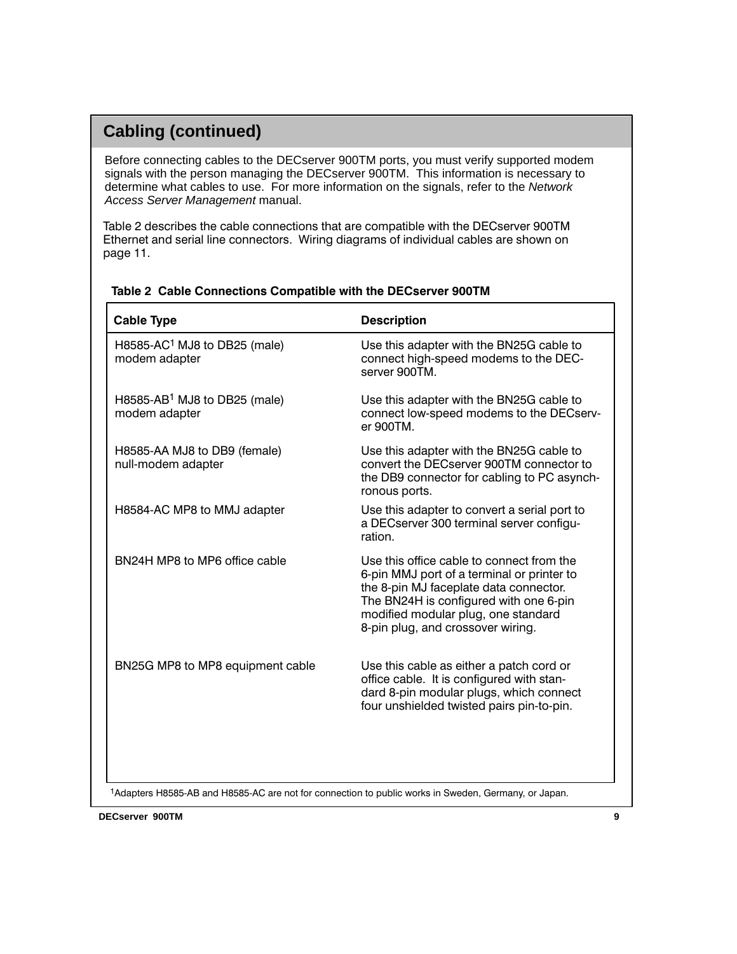### **Cabling (continued)**

ŗ

Before connecting cables to the DECserver 900TM ports, you must verify supported modem signals with the person managing the DECserver 900TM. This information is necessary to determine what cables to use. For more information on the signals, refer to the Network Access Server Management manual.

Table 2 describes the cable connections that are compatible with the DECserver 900TM Ethernet and serial line connectors. Wiring diagrams of individual cables are shown on page 11.

| <b>Cable Type</b>                                                                                    | <b>Description</b>                                                                                                                                                                                                                                      |
|------------------------------------------------------------------------------------------------------|---------------------------------------------------------------------------------------------------------------------------------------------------------------------------------------------------------------------------------------------------------|
| H8585-AC <sup>1</sup> MJ8 to DB25 (male)<br>modem adapter                                            | Use this adapter with the BN25G cable to<br>connect high-speed modems to the DEC-<br>server 900TM.                                                                                                                                                      |
| H8585-AB <sup>1</sup> MJ8 to DB25 (male)<br>modem adapter                                            | Use this adapter with the BN25G cable to<br>connect low-speed modems to the DECserv-<br>er 900TM.                                                                                                                                                       |
| H8585-AA MJ8 to DB9 (female)<br>null-modem adapter                                                   | Use this adapter with the BN25G cable to<br>convert the DECserver 900TM connector to<br>the DB9 connector for cabling to PC asynch-<br>ronous ports.                                                                                                    |
| H8584-AC MP8 to MMJ adapter                                                                          | Use this adapter to convert a serial port to<br>a DECserver 300 terminal server configu-<br>ration.                                                                                                                                                     |
| BN24H MP8 to MP6 office cable                                                                        | Use this office cable to connect from the<br>6-pin MMJ port of a terminal or printer to<br>the 8-pin MJ faceplate data connector.<br>The BN24H is configured with one 6-pin<br>modified modular plug, one standard<br>8-pin plug, and crossover wiring. |
| BN25G MP8 to MP8 equipment cable                                                                     | Use this cable as either a patch cord or<br>office cable. It is configured with stan-<br>dard 8-pin modular plugs, which connect<br>four unshielded twisted pairs pin-to-pin.                                                                           |
| 1Adapters H8585-AB and H8585-AC are not for connection to public works in Sweden, Germany, or Japan. |                                                                                                                                                                                                                                                         |

#### Table 2 Cable Connections Compatible with the DECserver 900TM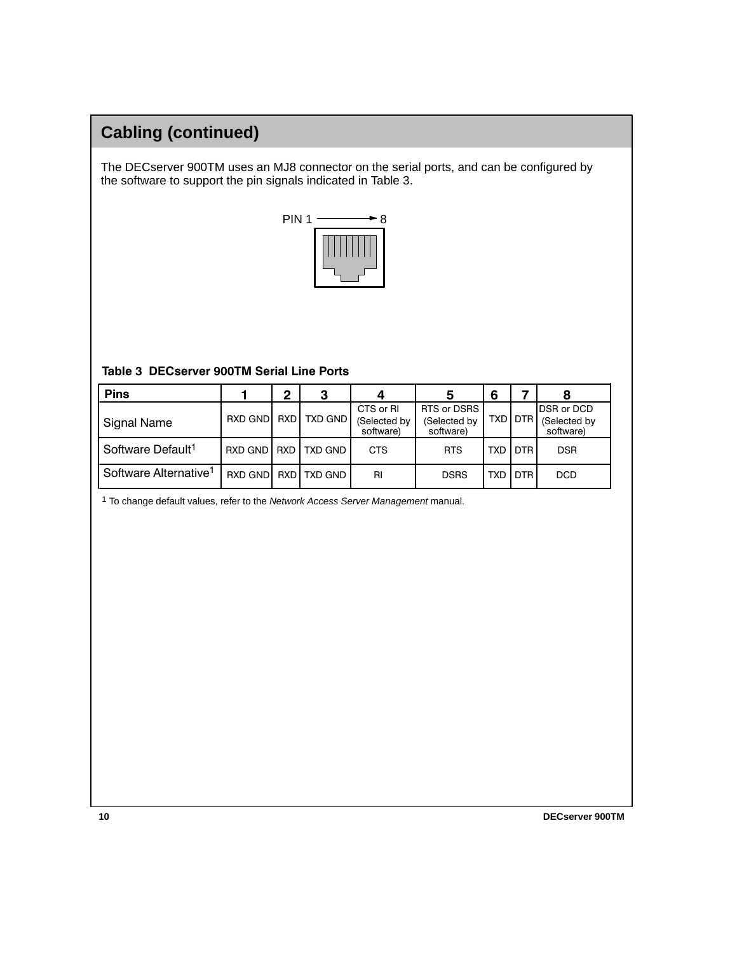## **Cabling (continued)**

The DECserver 900TM uses an MJ8 connector on the serial ports, and can be configured by the software to support the pin signals indicated in Table 3.



#### Table 3 DECserver 900TM Serial Line Ports

| <b>Pins</b>                       |         | າ    | З              |                                        |                                          | 6          |            | 8                                       |
|-----------------------------------|---------|------|----------------|----------------------------------------|------------------------------------------|------------|------------|-----------------------------------------|
| Signal Name                       | RXD GND | RXDI | <b>TXD GND</b> | CTS or RI<br>(Selected by<br>software) | RTS or DSRS<br>(Selected by<br>software) |            | TXD I DTR  | DSR or DCD<br>(Selected by<br>software) |
| Software Default <sup>1</sup>     | RXD GND |      | RXD TXD GND    | <b>CTS</b>                             | <b>RTS</b>                               | <b>TXD</b> | <b>DTR</b> | <b>DSR</b>                              |
| Software Alternative <sup>1</sup> | RXD GND |      | RXD I TXD GND  | RI                                     | <b>DSRS</b>                              | <b>TXD</b> | <b>DTR</b> | <b>DCD</b>                              |

1 To change default values, refer to the Network Access Server Management manual.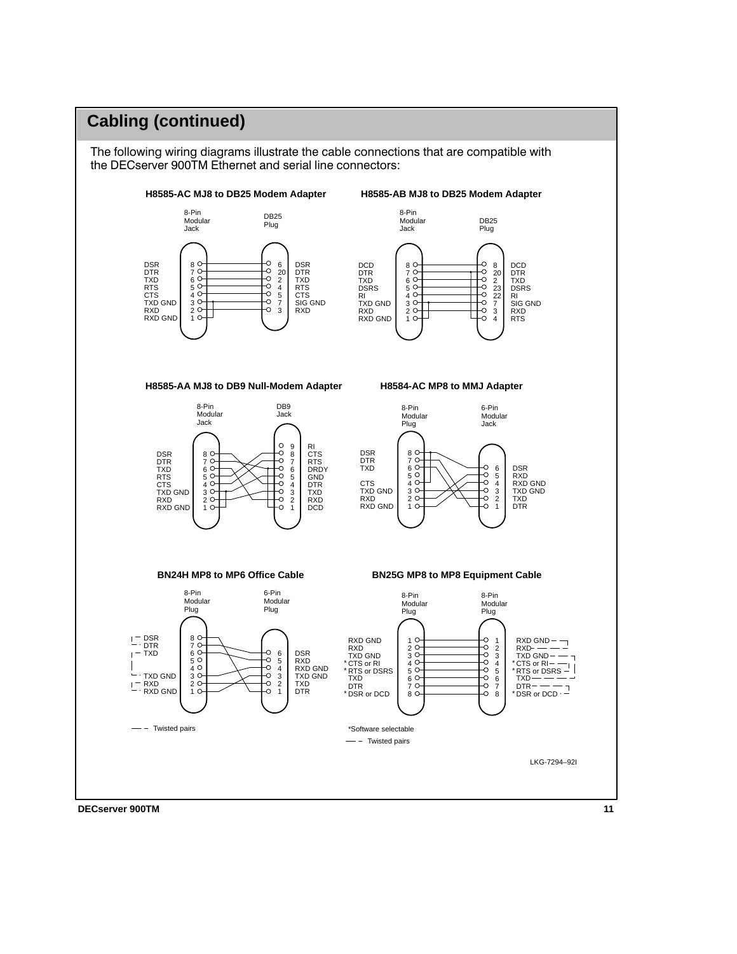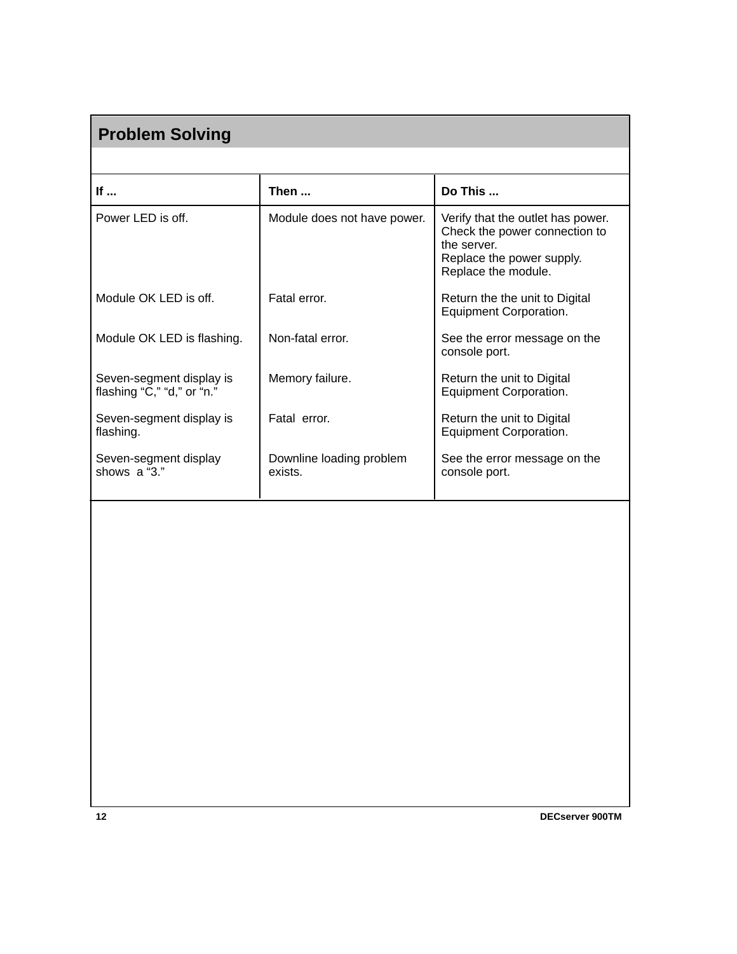# **If ... If ... If ... If such a set of Then ... Do This ...** Power LED is off. **Nodule does not have power.** Verify that the outlet has power. Check the power connection to the server. Replace the power supply. Replace the module. Module OK LED is off. <br>
Fatal error. 
<br>
Return the the unit to Digital Equipment Corporation. Module OK LED is flashing. | Non-fatal error. | See the error message on the console port. Seven-segment display is  $\parallel$  Memory failure.  $\parallel$  Return the unit to Digital flashing "C," "d," or "n." Equipment Corporation. Seven-segment display is Fatal error. Return the unit to Digital flashing. The contract of the contract of the contract of the entries of the contract of the contract of the contract of the contract of the contract of the contract of the contract of the contract of the contract of the c Seven-segment display Downline loading problem See the error message on the shows a "3." console port. **Problem Solving**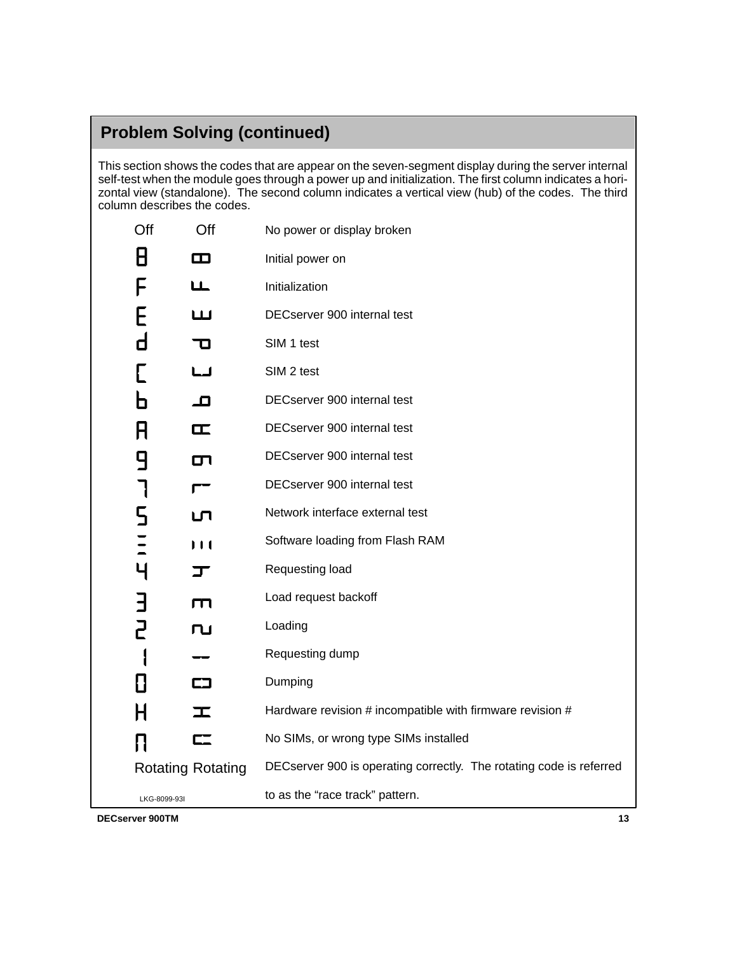## **Problem Solving (continued)**

This section shows the codes that are appear on the seven-segment display during the server internal self-test when the module goes through a power up and initialization. The first column indicates a horizontal view (standalone). The second column indicates a vertical view (hub) of the codes. The third column describes the codes.

| Off            | Off                      | No power or display broken                                          |
|----------------|--------------------------|---------------------------------------------------------------------|
| 8              | Ф                        | Initial power on                                                    |
| F              | ட                        | Initialization                                                      |
| E              | ய                        | DECserver 900 internal test                                         |
| d              | 70                       | SIM 1 test                                                          |
|                | ட்ட                      | SIM 2 test                                                          |
| n              | ᅟᄆ                       | DECserver 900 internal test                                         |
| R              | ᄄ                        | DECserver 900 internal test                                         |
| 9              | σп                       | DECserver 900 internal test                                         |
| ┑              |                          | DECserver 900 internal test                                         |
| 5              | பு                       | Network interface external test                                     |
| $\overline{a}$ | I I 1                    | Software loading from Flash RAM                                     |
| $\overline{4}$ | JΓ                       | Requesting load                                                     |
| E              | $\Box$                   | Load request backoff                                                |
| 2              | ru                       | Loading                                                             |
|                |                          | Requesting dump                                                     |
| 8              | 口                        | Dumping                                                             |
| H              | T                        | Hardware revision # incompatible with firmware revision #           |
| П              | $\overline{\mathsf{C}}$  | No SIMs, or wrong type SIMs installed                               |
|                | <b>Rotating Rotating</b> | DECserver 900 is operating correctly. The rotating code is referred |
|                | LKG-8099-93I             | to as the "race track" pattern.                                     |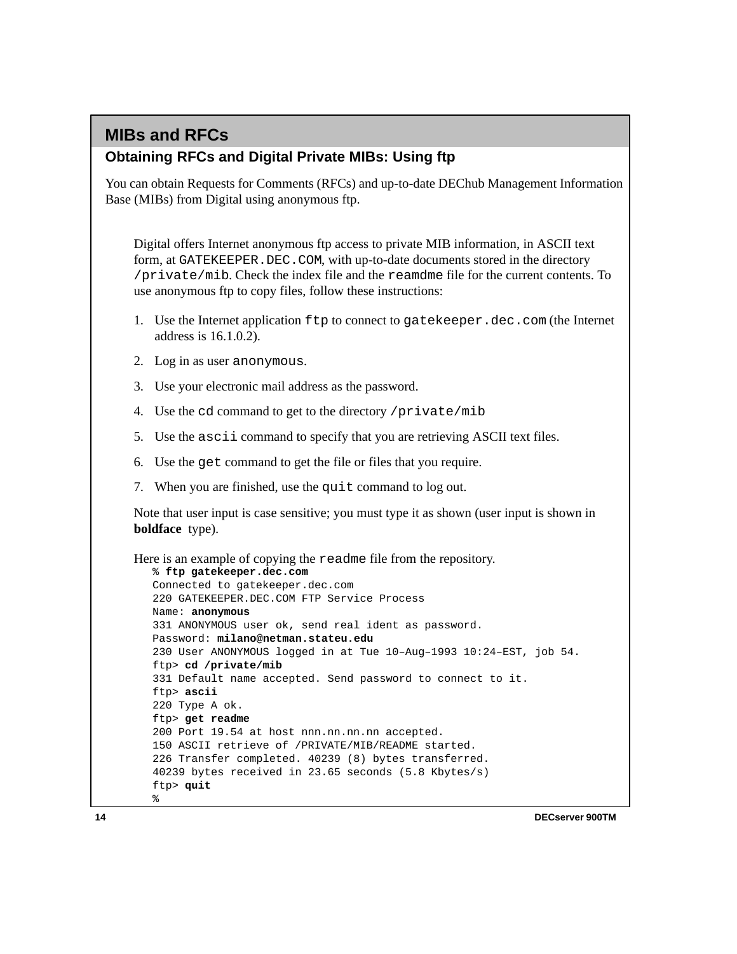## **MIBs and RFCs**

#### **Obtaining RFCs and Digital Private MIBs: Using ftp**

You can obtain Requests for Comments (RFCs) and up-to-date DEChub Management Information Base (MIBs) from Digital using anonymous ftp.

Digital offers Internet anonymous ftp access to private MIB information, in ASCII text form, at GATEKEEPER.DEC.COM, with up-to-date documents stored in the directory /private/mib. Check the index file and the reamdme file for the current contents. To use anonymous ftp to copy files, follow these instructions:

- 1. Use the Internet application ftp to connect to gatekeeper.dec.com (the Internet address is 16.1.0.2).
- 2. Log in as user anonymous.
- 3. Use your electronic mail address as the password.
- 4. Use the cd command to get to the directory /private/mib
- 5. Use the ascii command to specify that you are retrieving ASCII text files.
- 6. Use the get command to get the file or files that you require.
- 7. When you are finished, use the quit command to log out.

Note that user input is case sensitive; you must type it as shown (user input is shown in **boldface** type).

```
Here is an example of copying the readme file from the repository.
   % ftp gatekeeper.dec.com
  Connected to gatekeeper.dec.com
   220 GATEKEEPER.DEC.COM FTP Service Process
  Name: anonymous
  331 ANONYMOUS user ok, send real ident as password.
  Password: milano@netman.stateu.edu
   230 User ANONYMOUS logged in at Tue 10–Aug–1993 10:24–EST, job 54.
   ftp> cd /private/mib
   331 Default name accepted. Send password to connect to it.
   ftp> ascii
   220 Type A ok.
   ftp> get readme
   200 Port 19.54 at host nnn.nn.nn.nn accepted.
   150 ASCII retrieve of /PRIVATE/MIB/README started.
   226 Transfer completed. 40239 (8) bytes transferred.
   40239 bytes received in 23.65 seconds (5.8 Kbytes/s)
   ftp> quit
   %
```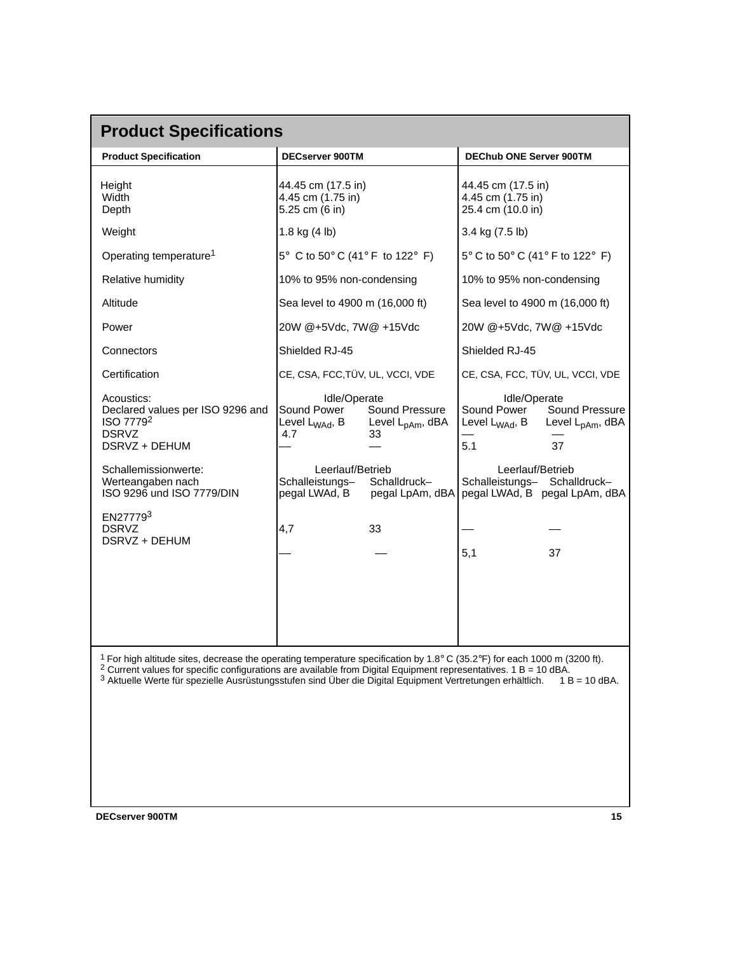| <b>Product Specifications</b>                                                                                                                                                                                                                                                                                                                                           |                                                                                                                                                             |                                                                                                                                                                                                                                  |                                                   |  |  |  |
|-------------------------------------------------------------------------------------------------------------------------------------------------------------------------------------------------------------------------------------------------------------------------------------------------------------------------------------------------------------------------|-------------------------------------------------------------------------------------------------------------------------------------------------------------|----------------------------------------------------------------------------------------------------------------------------------------------------------------------------------------------------------------------------------|---------------------------------------------------|--|--|--|
| <b>Product Specification</b>                                                                                                                                                                                                                                                                                                                                            | <b>DECserver 900TM</b>                                                                                                                                      | <b>DEChub ONE Server 900TM</b>                                                                                                                                                                                                   |                                                   |  |  |  |
| Height<br>Width<br>Depth                                                                                                                                                                                                                                                                                                                                                | 44.45 cm (17.5 in)<br>4.45 cm (1.75 in)<br>5.25 cm (6 in)                                                                                                   | 44.45 cm (17.5 in)<br>4.45 cm (1.75 in)<br>25.4 cm (10.0 in)                                                                                                                                                                     |                                                   |  |  |  |
| Weight                                                                                                                                                                                                                                                                                                                                                                  | 1.8 kg $(4 \text{ lb})$                                                                                                                                     | 3.4 kg (7.5 lb)                                                                                                                                                                                                                  |                                                   |  |  |  |
| Operating temperature <sup>1</sup>                                                                                                                                                                                                                                                                                                                                      | $5^{\circ}$ C to $50^{\circ}$ C (41° F to 122° F)                                                                                                           |                                                                                                                                                                                                                                  | $5^{\circ}$ C to $50^{\circ}$ C (41° F to 122° F) |  |  |  |
| Relative humidity                                                                                                                                                                                                                                                                                                                                                       | 10% to 95% non-condensing                                                                                                                                   | 10% to 95% non-condensing                                                                                                                                                                                                        |                                                   |  |  |  |
| Altitude                                                                                                                                                                                                                                                                                                                                                                | Sea level to 4900 m (16,000 ft)                                                                                                                             | Sea level to 4900 m (16,000 ft)                                                                                                                                                                                                  |                                                   |  |  |  |
| Power                                                                                                                                                                                                                                                                                                                                                                   | 20W @+5Vdc, 7W@ +15Vdc                                                                                                                                      | 20W @+5Vdc, 7W@ +15Vdc                                                                                                                                                                                                           |                                                   |  |  |  |
| Connectors                                                                                                                                                                                                                                                                                                                                                              | Shielded RJ-45                                                                                                                                              | Shielded RJ-45                                                                                                                                                                                                                   |                                                   |  |  |  |
| Certification                                                                                                                                                                                                                                                                                                                                                           | CE, CSA, FCC, TÜV, UL, VCCI, VDE                                                                                                                            | CE, CSA, FCC, TÜV, UL, VCCI, VDE                                                                                                                                                                                                 |                                                   |  |  |  |
| Acoustics:<br>Declared values per ISO 9296 and<br>ISO 7779 <sup>2</sup><br><b>DSRVZ</b><br>DSRVZ + DEHUM<br>Schallemissionwerte:<br>Werteangaben nach<br>ISO 9296 und ISO 7779/DIN<br>EN277793<br><b>DSRVZ</b><br>DSRVZ + DEHUM                                                                                                                                         | Idle/Operate<br>Sound Power<br>Level L <sub>WAd</sub> , B<br>4.7<br>33<br>Leerlauf/Betrieb<br>Schalleistungs-<br>Schalldruck-<br>pegal LWAd, B<br>33<br>4,7 | Idle/Operate<br>Sound Power<br>Sound Pressure<br>Level L <sub>pAm</sub> , dBA<br>Level L <sub>WAd</sub> , B<br>5.1<br>37<br>Leerlauf/Betrieb<br>Schalleistungs- Schalldruck-<br>pegal LWAd, B pegal LpAm, dBA<br>pegal LpAm, dBA | Sound Pressure<br>Level L <sub>pAm</sub> , dBA    |  |  |  |
| <sup>1</sup> For high altitude sites, decrease the operating temperature specification by 1.8° C (35.2°F) for each 1000 m (3200 ft).<br>$2$ Current values for specific configurations are available from Digital Equipment representatives. 1 B = 10 dBA.<br>3 Aktuelle Werte für spezielle Ausrüstungsstufen sind Über die Digital Equipment Vertretungen erhältlich. |                                                                                                                                                             | 5,1<br>37                                                                                                                                                                                                                        | $1 B = 10$ dBA.                                   |  |  |  |